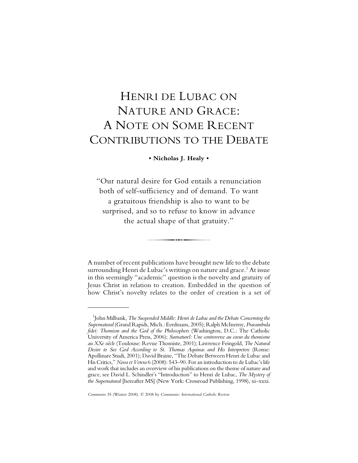# HENRI DE LUBAC ON NATURE AND GRACE: A NOTE ON SOME RECENT CONTRIBUTIONS TO THE DEBATE

## **• Nicholas J. Healy •**

"Our natural desire for God entails a renunciation both of self-sufficiency and of demand. To want a gratuitous friendship is also to want to be surprised, and so to refuse to know in advance the actual shape of that gratuity."

A number of recent publications have brought new life to the debate surrounding Henri de Lubac's writings on nature and grace. $^{\rm 1}$  At issue in this seemingly "academic" question is the novelty and gratuity of Jesus Christ in relation to creation. Embedded in the question of how Christ's novelty relates to the order of creation is a set of

<sup>1</sup> John Milbank, *The Suspended Middle: Henri de Lubac and the Debate Concerning the Supernatural* (Grand Rapids, Mich.: Eerdmans, 2005); Ralph McInerny, *Praeambula fidei: Thomism and the God of the Philosophers* (Washington, D.C.: The Catholic University of America Press, 2006); *Surnaturel: Une controverse au coeur du thomisme au XXe siècle* (Toulouse: Revue Thomiste, 2001); Lawrence Feingold, *The Natural Desire to See God According to St. Thomas Aquinas and His Interpreters* (Rome: Apollinare Studi, 2001); David Braine, "The Debate Between Henri de Lubac and His Critics," *Nova et Vetera* 6 (2008): 543–90. For an introduction to de Lubac's life and work that includes an overview of his publications on the theme of nature and grace, see David L. Schindler's "Introduction" to Henri de Lubac, *The Mystery of the Supernatural* [hereafter MS] (New York: Crossroad Publishing, 1998), xi–xxxi.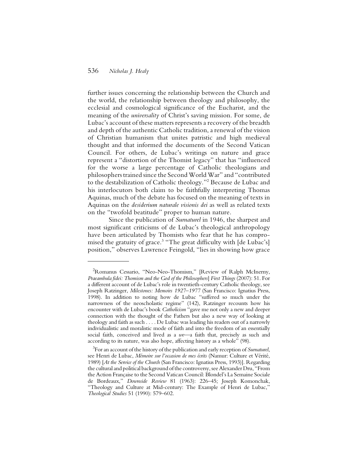further issues concerning the relationship between the Church and the world, the relationship between theology and philosophy, the ecclesial and cosmological significance of the Eucharist, and the meaning of the *universality* of Christ's saving mission. For some, de Lubac's account of these matters represents a recovery of the breadth and depth of the authentic Catholic tradition, a renewal of the vision of Christian humanism that unites patristic and high medieval thought and that informed the documents of the Second Vatican Council. For others, de Lubac's writings on nature and grace represent a "distortion of the Thomist legacy" that has "influenced for the worse a large percentage of Catholic theologians and philosophers trained since the Second World War" and "contributed to the destabilization of Catholic theology."2 Because de Lubac and his interlocutors both claim to be faithfully interpreting Thomas Aquinas, much of the debate has focused on the meaning of texts in Aquinas on the *desiderium naturale visionis dei* as well as related texts on the "twofold beatitude" proper to human nature.

Since the publication of *Surnaturel* in 1946, the sharpest and most significant criticisms of de Lubac's theological anthropology have been articulated by Thomists who fear that he has compromised the gratuity of grace.<sup>3</sup> "The great difficulty with [de Lubac's] position," observes Lawrence Feingold, "lies in showing how grace

<sup>2</sup> Romanus Cessario, "Neo-Neo-Thomism," [Review of Ralph McInerny, *Praeambula fidei: Thomism and the God of the Philosophers*] *First Things* (2007): 51. For a different account of de Lubac's role in twentieth-century Catholic theology, see Joseph Ratzinger, *Milestones: Memoirs 1927–1977* (San Francisco: Ignatius Press, 1998). In addition to noting how de Lubac "suffered so much under the narrowness of the neoscholastic regime" (142), Ratzinger recounts how his encounter with de Lubac's book *Catholicism* "gave me not only a new and deeper connection with the thought of the Fathers but also a new way of looking at theology and faith as such . . . . De Lubac was leading his readers out of a narrowly individualistic and moralistic mode of faith and into the freedom of an essentially social faith, conceived and lived as a *we*—a faith that, precisely as such and according to its nature, was also hope, affecting history as a whole" (98).

<sup>3</sup> For an account of the history of the publication and early reception of *Surnaturel*, see Henri de Lubac, *Mémoire sur l'occasion de mes écrits* (Namur: Culture et Vérité, 1989) [*At the Service of the Church* (San Francisco: Ignatius Press, 1993)]. Regarding the cultural and political background of the controversy, see Alexander Dru, "From the Action Française to the Second Vatican Council: Blondel's La Semaine Sociale de Bordeaux," *Downside Review* 81 (1963): 226–45; Joseph Komonchak, "Theology and Culture at Mid-century: The Example of Henri de Lubac," *Theological Studies* 51 (1990): 579–602.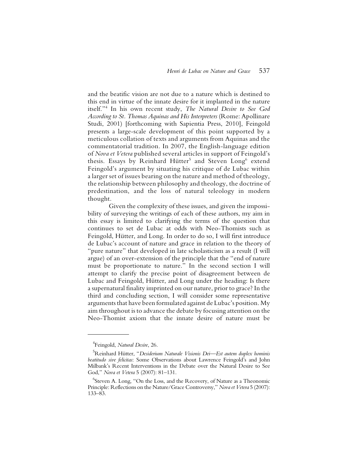and the beatific vision are not due to a nature which is destined to this end in virtue of the innate desire for it implanted in the nature itself."4 In his own recent study, *The Natural Desire to See God According to St. Thomas Aquinas and His Interpreters* (Rome: Apollinare Studi, 2001) [forthcoming with Sapientia Press, 2010], Feingold presents a large-scale development of this point supported by a meticulous collation of texts and arguments from Aquinas and the commentatorial tradition. In 2007, the English-language edition of *Nova et Vetera* published several articles in support of Feingold's thesis. Essays by Reinhard Hütter<sup>5</sup> and Steven Long<sup>6</sup> extend Feingold's argument by situating his critique of de Lubac within a larger set of issues bearing on the nature and method of theology, the relationship between philosophy and theology, the doctrine of predestination, and the loss of natural teleology in modern thought.

Given the complexity of these issues, and given the impossibility of surveying the writings of each of these authors, my aim in this essay is limited to clarifying the terms of the question that continues to set de Lubac at odds with Neo-Thomists such as Feingold, Hütter, and Long. In order to do so, I will first introduce de Lubac's account of nature and grace in relation to the theory of "pure nature" that developed in late scholasticism as a result (I will argue) of an over-extension of the principle that the "end of nature must be proportionate to nature." In the second section I will attempt to clarify the precise point of disagreement between de Lubac and Feingold, Hütter, and Long under the heading: Is there a supernatural finality imprinted on our nature, prior to grace? In the third and concluding section, I will consider some representative arguments that have been formulated against de Lubac's position. My aim throughout is to advance the debate by focusing attention on the Neo-Thomist axiom that the innate desire of nature must be

<sup>4</sup> Feingold, *Natural Desire*, 26.

<sup>5</sup> Reinhard Hütter, "*Desiderium Naturale Visionis Dei—Est autem duplex hominis beatitudo sive felicitas*: Some Observations about Lawrence Feingold's and John Milbank's Recent Interventions in the Debate over the Natural Desire to See God," *Nova et Vetera* 5 (2007): 81–131.

<sup>6</sup> Steven A. Long, "On the Loss, and the Recovery, of Nature as a Theonomic Principle: Reflections on the Nature/Grace Controversy," *Nova et Vetera* 5 (2007): 133–83.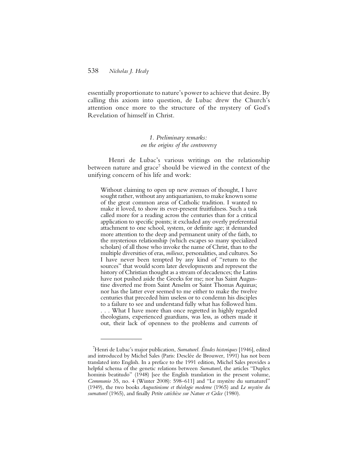essentially proportionate to nature's power to achieve that desire. By calling this axiom into question, de Lubac drew the Church's attention once more to the structure of the mystery of God's Revelation of himself in Christ.

## *1. Preliminary remarks: on the origins of the controversy*

Henri de Lubac's various writings on the relationship between nature and grace<sup>7</sup> should be viewed in the context of the unifying concern of his life and work:

Without claiming to open up new avenues of thought, I have sought rather, without any antiquarianism, to make known some of the great common areas of Catholic tradition. I wanted to make it loved, to show its ever-present fruitfulness. Such a task called more for a reading across the centuries than for a critical application to specific points; it excluded any overly preferential attachment to one school, system, or definite age; it demanded more attention to the deep and permanent unity of the faith, to the mysterious relationship (which escapes so many specialized scholars) of all those who invoke the name of Christ, than to the multiple diversities of eras, *milieux*, personalities, and cultures. So I have never been tempted by any kind of "return to the sources" that would scorn later developments and represent the history of Christian thought as a stream of decadences; the Latins have not pushed aside the Greeks for me; nor has Saint Augustine diverted me from Saint Anselm or Saint Thomas Aquinas; nor has the latter ever seemed to me either to make the twelve centuries that preceded him useless or to condemn his disciples to a failure to see and understand fully what has followed him. . . . What I have more than once regretted in highly regarded theologians, experienced guardians, was less, as others made it out, their lack of openness to the problems and currents of

<sup>7</sup> Henri de Lubac's major publication, *Surnaturel. Études historiques* [1946], edited and introduced by Michel Sales (Paris: Desclée de Brouwer, 1991) has not been translated into English. In a preface to the 1991 edition, Michel Sales provides a helpful schema of the genetic relations between *Surnaturel*, the articles "Duplex hominis beatitudo" (1948) [see the English translation in the present volume, *Communio* 35, no. 4 (Winter 2008): 598–611] and "Le mystère du surnaturel" (1949), the two books *Augustinisme et théologie moderne* (1965) and *Le mystère du surnaturel* (1965), and finally *Petite catéchèse sur Nature et Grâce* (1980).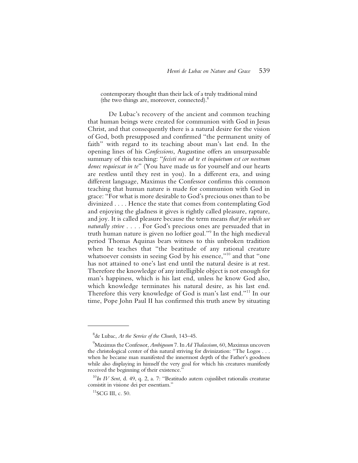contemporary thought than their lack of a truly traditional mind (the two things are, moreover, connected).8

De Lubac's recovery of the ancient and common teaching that human beings were created for communion with God in Jesus Christ, and that consequently there is a natural desire for the vision of God, both presupposed and confirmed "the permanent unity of faith" with regard to its teaching about man's last end. In the opening lines of his *Confessions*, Augustine offers an unsurpassable summary of this teaching: "*fecisti nos ad te et inquietum est cor nostrum donec requiescat in te*" (You have made us for yourself and our hearts are restless until they rest in you). In a different era, and using different language, Maximus the Confessor confirms this common teaching that human nature is made for communion with God in grace: "For what is more desirable to God's precious ones than to be divinized . . . . Hence the state that comes from contemplating God and enjoying the gladness it gives is rightly called pleasure, rapture, and joy. It is called pleasure because the term means *that for which we naturally strive* . . . . For God's precious ones are persuaded that in truth human nature is given no loftier goal."<sup>9</sup> In the high medieval period Thomas Aquinas bears witness to this unbroken tradition when he teaches that "the beatitude of any rational creature whatsoever consists in seeing God by his essence,"<sup>10</sup> and that "one has not attained to one's last end until the natural desire is at rest. Therefore the knowledge of any intelligible object is not enough for man's happiness, which is his last end, unless he know God also, which knowledge terminates his natural desire, as his last end. Therefore this very knowledge of God is man's last end."11 In our time, Pope John Paul II has confirmed this truth anew by situating

<sup>8</sup> de Lubac, *At the Service of the Church*, 143–45.

<sup>9</sup> Maximus the Confessor, *Ambiguum* 7. In *Ad Thalassium*, 60, Maximus uncovers the christological center of this natural striving for divinization: "The Logos . . . when he became man manifested the innermost depth of the Father's goodness while also displaying in himself the very goal for which his creatures manifestly received the beginning of their existence."

<sup>10</sup>*In IV Sent*, d. 49, q. 2, a. 7: "Beatitudo autem cujuslibet rationalis creaturae consistit in visione dei per essentiam."

 $11$ SCG III, c. 50.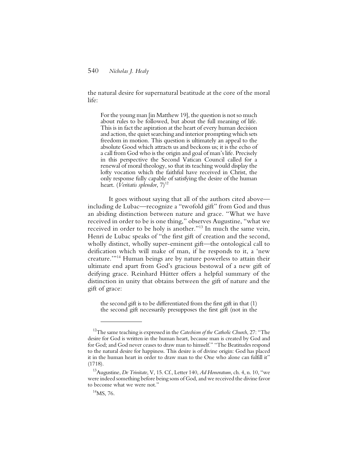the natural desire for supernatural beatitude at the core of the moral life:

For the young man [in Matthew 19], the question is not so much about rules to be followed, but about the full meaning of life. This is in fact the aspiration at the heart of every human decision and action, the quiet searching and interior prompting which sets freedom in motion. This question is ultimately an appeal to the absolute Good which attracts us and beckons us; it is the echo of a call from God who is the origin and goal of man's life. Precisely in this perspective the Second Vatican Council called for a renewal of moral theology, so that its teaching would display the lofty vocation which the faithful have received in Christ, the only response fully capable of satisfying the desire of the human heart. (*Veritatis splendor*, 7)<sup>12</sup>

It goes without saying that all of the authors cited above including de Lubac—recognize a "twofold gift" from God and thus an abiding distinction between nature and grace. "What we have received in order to be is one thing," observes Augustine, "what we received in order to be holy is another."13 In much the same vein, Henri de Lubac speaks of "the first gift of creation and the second, wholly distinct, wholly super-eminent gift—the ontological call to deification which will make of man, if he responds to it, a 'new creature.'"14 Human beings are by nature powerless to attain their ultimate end apart from God's gracious bestowal of a new gift of deifying grace. Reinhard Hütter offers a helpful summary of the distinction in unity that obtains between the gift of nature and the gift of grace:

the second gift is to be differentiated from the first gift in that (1) the second gift necessarily presupposes the first gift (not in the

<sup>12</sup>The same teaching is expressed in the *Catechism of the Catholic Church*, 27: "The desire for God is written in the human heart, because man is created by God and for God; and God never ceases to draw man to himself." "The Beatitudes respond to the natural desire for happiness. This desire is of divine origin: God has placed it in the human heart in order to draw man to the One who alone can fulfill it" (1718).

<sup>13</sup>Augustine, *De Trinitate*, V, 15. Cf., Letter 140, *Ad Honoratum*, ch. 4, n. 10, "we were indeed something before being sons of God, and we received the divine favor to become what we were not."

 $14$ MS, 76.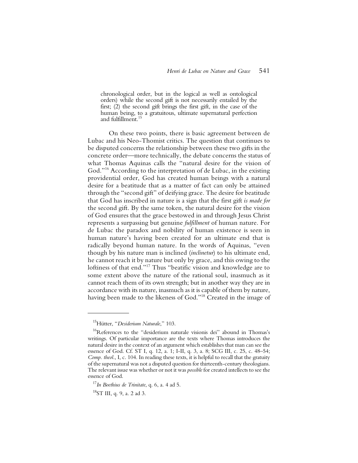chronological order, but in the logical as well as ontological orders) while the second gift is not necessarily entailed by the first; (2) the second gift brings the first gift, in the case of the human being, to a gratuitous, ultimate supernatural perfection and fulfillment.<sup>15</sup>

On these two points, there is basic agreement between de Lubac and his Neo-Thomist critics. The question that continues to be disputed concerns the relationship between these two gifts in the concrete order—more technically, the debate concerns the status of what Thomas Aquinas calls the "natural desire for the vision of God."16 According to the interpretation of de Lubac, in the existing providential order, God has created human beings with a natural desire for a beatitude that as a matter of fact can only be attained through the "second gift" of deifying grace. The desire for beatitude that God has inscribed in nature is a sign that the first gift *is made for* the second gift. By the same token, the natural desire for the vision of God ensures that the grace bestowed in and through Jesus Christ represents a surpassing but genuine *fulfillment* of human nature. For de Lubac the paradox and nobility of human existence is seen in human nature's having been created for an ultimate end that is radically beyond human nature. In the words of Aquinas, "even though by his nature man is inclined (*inclinetur*) to his ultimate end, he cannot reach it by nature but only by grace, and this owing to the loftiness of that end."17 Thus "beatific vision and knowledge are to some extent above the nature of the rational soul, inasmuch as it cannot reach them of its own strength; but in another way they are in accordance with its nature, inasmuch as it is capable of them by nature, having been made to the likeness of God."18 Created in the image of

<sup>15</sup>Hütter, "*Desiderium Naturale*," 103.

<sup>&</sup>lt;sup>16</sup>References to the "desiderium naturale visionis dei" abound in Thomas's writings. Of particular importance are the texts where Thomas introduces the natural desire in the context of an argument which establishes that man can see the essence of God. Cf. ST I, q. 12, a. 1; I-II, q. 3, a. 8; SCG III, c. 25, c. 48–54; *Comp. theol*., I, c. 104. In reading these texts, it is helpful to recall that the gratuity of the supernatural was not a disputed question for thirteenth-century theologians. The relevant issue was whether or not it was *possible* for created intellects to see the essence of God.

<sup>17</sup>*In Boethius de Trinitate*, q. 6, a. 4 ad 5.

 ${}^{18}ST$  III, q. 9, a. 2 ad 3.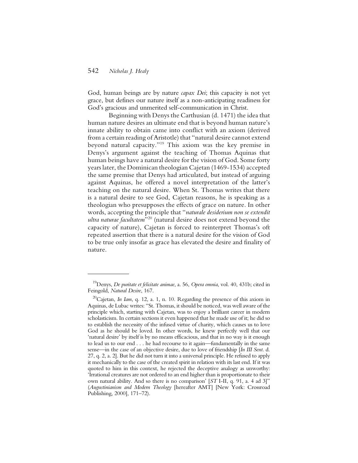God, human beings are by nature *capax Dei*; this capacity is not yet grace, but defines our nature itself as a non-anticipating readiness for God's gracious and unmerited self-communication in Christ.

Beginning with Denys the Carthusian (d. 1471) the idea that human nature desires an ultimate end that is beyond human nature's innate ability to obtain came into conflict with an axiom (derived from a certain reading of Aristotle) that "natural desire cannot extend beyond natural capacity."19 This axiom was the key premise in Denys's argument against the teaching of Thomas Aquinas that human beings have a natural desire for the vision of God. Some forty years later, the Dominican theologian Cajetan (1469-1534) accepted the same premise that Denys had articulated, but instead of arguing against Aquinas, he offered a novel interpretation of the latter's teaching on the natural desire. When St. Thomas writes that there is a natural desire to see God, Cajetan reasons, he is speaking as a theologian who presupposes the effects of grace on nature. In other words, accepting the principle that "*naturale desiderium non se extendit ultra naturae facultatem*"20 (natural desire does not extend beyond the capacity of nature), Cajetan is forced to reinterpret Thomas's oft repeated assertion that there is a natural desire for the vision of God to be true only insofar as grace has elevated the desire and finality of nature.

<sup>19</sup>Denys, *De puritate et felicitate animae*, a. 56, *Opera omnia*, vol. 40, 431b; cited in Feingold, *Natural Desire*, 167.

<sup>20</sup>Cajetan, *In Iam*, q. 12, a. 1, n. 10. Regarding the presence of this axiom in Aquinas, de Lubac writes: "St. Thomas, it should be noticed, was well aware of the principle which, starting with Cajetan, was to enjoy a brilliant career in modern scholasticism. In certain sections it even happened that he made use of it; he did so to establish the necessity of the infused virtue of charity, which causes us to love God as he should be loved. In other words, he knew perfectly well that our 'natural desire' by itself is by no means efficacious, and that in no way is it enough to lead us to our end . . . he had recourse to it again—fundamentally in the same sense—in the case of an objective desire, due to love of friendship [*In III Sent*. d. 27, q. 2, a. 2]. But he did not turn it into a universal principle. He refused to apply it mechanically to the case of the created spirit in relation with its last end. If it was quoted to him in this context, he rejected the deceptive analogy as unworthy: 'Irrational creatures are not ordered to an end higher than is proportionate to their own natural ability. And so there is no comparison' [*ST* I-II, q. 91, a. 4 ad 3]" (*Augustinianism and Modern Theology* [hereafter AMT] [New York: Crossroad Publishing, 2000], 171–72).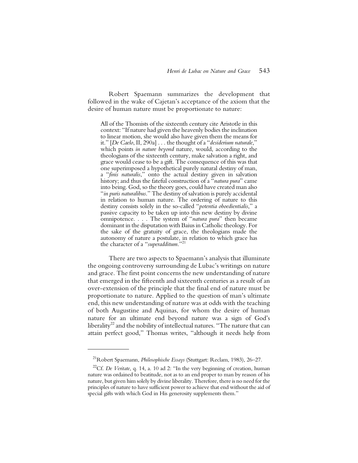Robert Spaemann summarizes the development that followed in the wake of Cajetan's acceptance of the axiom that the desire of human nature must be proportionate to nature:

All of the Thomists of the sixteenth century cite Aristotle in this context: "If nature had given the heavenly bodies the inclination to linear motion, she would also have given them the means for it." [*De Caelo*, II, 290a] . . . the thought of a "*desiderium naturale*," which points *in nature beyond* nature, would, according to the theologians of the sixteenth century, make salvation a right, and grace would cease to be a gift. The consequence of this was that one superimposed a hypothetical purely natural destiny of man, a "*finis naturalis*," onto the actual destiny given in salvation history; and thus the fateful construction of a *"natura pura"* came into being. God, so the theory goes, could have created man also "*in puris naturalibus.*" The destiny of salvation is purely accidental in relation to human nature. The ordering of nature to this destiny consists solely in the so-called "*potentia oboedientialis*," a passive capacity to be taken up into this new destiny by divine omnipotence. . . . The system of "*natura pura*" then became dominant in the disputation with Baius in Catholic theology. For the sake of the gratuity of grace, the theologians made the autonomy of nature a postulate, in relation to which grace has the character of a "*superadditum*."21

There are two aspects to Spaemann's analysis that illuminate the ongoing controversy surrounding de Lubac's writings on nature and grace. The first point concerns the new understanding of nature that emerged in the fifteenth and sixteenth centuries as a result of an over-extension of the principle that the final end of nature must be proportionate to nature. Applied to the question of man's ultimate end, this new understanding of nature was at odds with the teaching of both Augustine and Aquinas, for whom the desire of human nature for an ultimate end beyond nature was a sign of God's liberality<sup>22</sup> and the nobility of intellectual natures. "The nature that can attain perfect good," Thomas writes, "although it needs help from

<sup>21</sup>Robert Spaemann, *Philosophische Essays* (Stuttgart: Reclam, 1983), 26–27.

<sup>&</sup>lt;sup>22</sup>Cf. *De Veritate*, q. 14, a. 10 ad 2: "In the very beginning of creation, human nature was ordained to beatitude, not as to an end proper to man by reason of his nature, but given him solely by divine liberality. Therefore, there is no need for the principles of nature to have sufficient power to achieve that end without the aid of special gifts with which God in His generosity supplements them."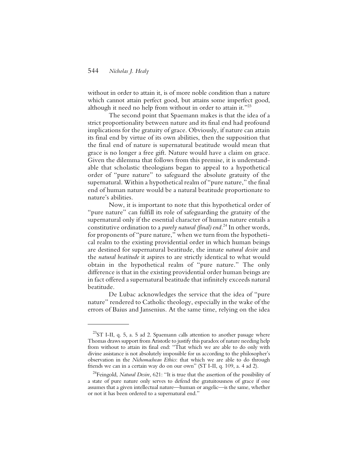without in order to attain it, is of more noble condition than a nature which cannot attain perfect good, but attains some imperfect good, although it need no help from without in order to attain it." $^{23}$ 

The second point that Spaemann makes is that the idea of a strict proportionality between nature and its final end had profound implications for the gratuity of grace. Obviously, if nature can attain its final end by virtue of its own abilities, then the supposition that the final end of nature is supernatural beatitude would mean that grace is no longer a free gift. Nature would have a claim on grace. Given the dilemma that follows from this premise, it is understandable that scholastic theologians began to appeal to a hypothetical order of "pure nature" to safeguard the absolute gratuity of the supernatural. Within a hypothetical realm of "pure nature," the final end of human nature would be a natural beatitude proportionate to nature's abilities.

Now, it is important to note that this hypothetical order of "pure nature" can fulfill its role of safeguarding the gratuity of the supernatural only if the essential character of human nature entails a constitutive ordination to a *purely natural (final) end*. 24 In other words, for proponents of "pure nature," when we turn from the hypothetical realm to the existing providential order in which human beings are destined for supernatural beatitude, the innate *natural desire* and the *natural beatitude* it aspires to are strictly identical to what would obtain in the hypothetical realm of "pure nature." The only difference is that in the existing providential order human beings are in fact offered a supernatural beatitude that infinitely exceeds natural beatitude.

De Lubac acknowledges the service that the idea of "pure nature" rendered to Catholic theology, especially in the wake of the errors of Baius and Jansenius. At the same time, relying on the idea

 $^{23}$ ST I-II, q. 5, a. 5 ad 2. Spaemann calls attention to another passage where Thomas draws support from Aristotle to justify this paradox of nature needing help from without to attain its final end: "That which we are able to do only with divine assistance is not absolutely impossible for us according to the philosopher's observation in the *Nichomachean Ethics*: that which we are able to do through friends we can in a certain way do on our own" (ST I-II, q. 109, a. 4 ad 2).

<sup>&</sup>lt;sup>24</sup>Feingold, *Natural Desire*, 621: "It is true that the assertion of the possibility of a state of pure nature only serves to defend the gratuitousness of grace if one assumes that a given intellectual nature—human or angelic—is the same, whether or not it has been ordered to a supernatural end."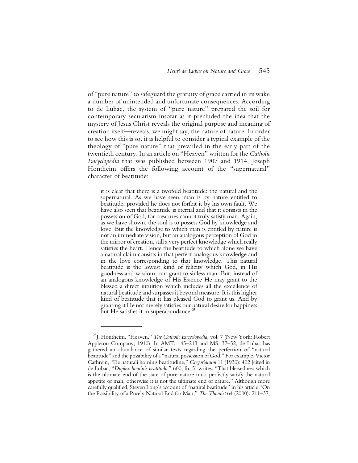of "pure nature" to safeguard the gratuity of grace carried in its wake a number of unintended and unfortunate consequences. According to de Lubac, the system of "pure nature" prepared the soil for contemporary secularism insofar as it precluded the idea that the mystery of Jesus Christ reveals the original purpose and meaning of creation itself—reveals, we might say, the nature of nature. In order to see how this is so, it is helpful to consider a typical example of the theology of "pure nature" that prevailed in the early part of the twentieth century. In an article on "Heaven" written for the *Catholic Encyclopedia* that was published between 1907 and 1914, Joseph Hontheim offers the following account of the "supernatural" character of beatitude:

it is clear that there is a twofold beatitude: the natural and the supernatural. As we have seen, man is by nature entitled to beatitude, provided he does not forfeit it by his own fault. We have also seen that beatitude is eternal and that it consists in the possession of God, for creatures cannot truly satisfy man. Again, as we have shown, the soul is to possess God by knowledge and love. But the knowledge to which man is entitled by nature is not an immediate vision, but an analogous perception of God in the mirror of creation, still a very perfect knowledge which really satisfies the heart. Hence the beatitude to which alone we have a natural claim consists in that perfect analogous knowledge and in the love corresponding to that knowledge. This natural beatitude is the lowest kind of felicity which God, in His goodness and wisdom, can grant to sinless man. But, instead of an analogous knowledge of His Essence He may grant to the blessed a direct intuition which includes all the excellence of natural beatitude and surpasses it beyond measure. It is this higher kind of beatitude that it has pleased God to grant us. And by granting it He not merely satisfies our natural desire for happiness but He satisfies it in superabundance.<sup>25</sup>

<sup>25</sup>J. Hontheim, "Heaven," *The Catholic Encyclopedia*, vol. 7 (New York: Robert Appleton Company, 1910). In AMT, 145–213 and MS, 37–52, de Lubac has gathered an abundance of similar texts regarding the perfection of "natural beatitude" and the possibility of a "natural possession of God." For example, Victor Cathrein, "De naturali hominis beatitudine," *Gregorianum* 11 (1930): 402 [cited in de Lubac, "*Duplex hominis beatitudo*," 600, fn. 5] writes: "That blessedness which is the ultimate end of the state of pure nature must perfectly satisfy the natural appetite of man, otherwise it is not the ultimate end of nature." Although more carefully qualified, Steven Long's account of "natural beatitude" in his article "On the Possibility of a Purely Natural End for Man," *The Thomist* 64 (2000): 211–37,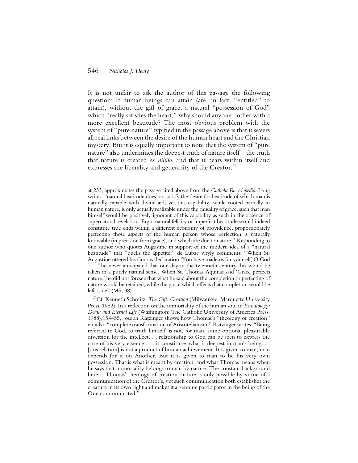It is not unfair to ask the author of this passage the following question: If human beings can attain (are, in fact, "entitled" to attain), without the gift of grace, a natural "possession of God" which "really satisfies the heart," why should anyone bother with a more excellent beatitude? The most obvious problem with the system of "pure nature" typified in the passage above is that it severs all real links between the desire of the human heart and the Christian mystery. But it is equally important to note that the system of "pure nature" also undermines the deepest truth of nature itself—the truth that nature is created *ex nihilo*, and that it bears within itself and expresses the liberality and generosity of the Creator.<sup>26</sup>

at 233, approximates the passage cited above from the *Catholic Encyclopedia*. Long writes: "natural beatitude does not satisfy the desire for beatitude of which man is naturally capable with divine aid; yet this capability, while rooted partially in human nature, is only actually realizable under the causality of grace, such that man himself would be positively ignorant of this capability as such in the absence of supernatural revelation. Ergo: natural felicity or imperfect beatitude would indeed constitute true ends within a different economy of providence, proportionately perfecting those aspects of the human person whose perfection is naturally knowable (in precision from grace), and which are due to nature." Responding to one author who quotes Augustine in support of the modern idea of a "natural beatitude" that "quells the appetite," de Lubac wryly comments: "When St. Augustine uttered his famous declaration 'You have made us for yourself, O God . . .,' he never anticipated that one day in the twentieth century this would be taken in a purely natural sense. When St. Thomas Aquinas said 'Grace perfects nature,' he did not foresee that what he said about the completion or perfecting of nature would be retained, while the grace which effects that completion would be left aside" (MS, 38).

<sup>&</sup>lt;sup>26</sup>Cf. Kenneth Schmitz, *The Gift: Creation* (Milwaukee: Marquette University Press, 1982). In a reflection on the immortality of the human soul in *Eschatology: Death and Eternal Life* (Washington: The Catholic University of America Press, 1988),154–55, Joseph Ratzinger shows how Thomas's "theology of creation" entails a "complete transformation of Aristotelianism." Ratzinger writes: "Being referred to God, to truth himself, is not, for man, some optional pleasurable diversion for the intellect. . . relationship to God can be seen to express the core of his very essence . . . it constitutes what is deepest in man's being. . . [this relation] is not a product of human achievement. It is given to man; man depends for it on Another. But it is given to man to be his very own possession. That is what is meant by creation, and what Thomas means when he says that immortality belongs to man by nature. The constant background here is Thomas' theology of creation: nature is only possible by virtue of a communication of the Creator's, yet such communication both establishes the creature in its own right and makes it a genuine participator in the being of the One communicated."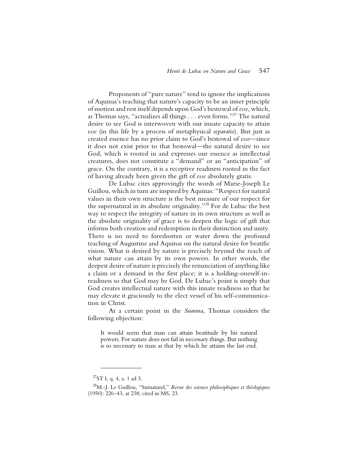Proponents of "pure nature" tend to ignore the implications of Aquinas's teaching that nature's capacity to be an inner principle of motion and rest itself depends upon God's bestowal of *esse*, which, as Thomas says, "actualizes all things . . . even forms."27 The natural desire to see God is interwoven with our innate capacity to attain *esse* (in this life by a process of metaphysical *separatio*). But just as created essence has no prior claim to God's bestowal of *esse*—since it does not exist prior to that bestowal—the natural desire to see God, which is rooted in and expresses our essence as intellectual creatures, does not constitute a "demand" or an "anticipation" of grace. On the contrary, it is a receptive readiness rooted in the fact of having already been given the gift of *esse* absolutely gratis.

De Lubac cites approvingly the words of Marie-Joseph Le Guillou, which in turn are inspired by Aquinas: "Respect for natural values in their own structure is the best measure of our respect for the supernatural in its absolute originality."28 For de Lubac the best way to respect the integrity of nature in its own structure as well as the absolute originality of grace is to deepen the logic of gift that informs both creation and redemption in their distinction and unity. There is no need to foreshorten or water down the profound teaching of Augustine and Aquinas on the natural desire for beatific vision. What is desired by nature is precisely beyond the reach of what nature can attain by its own powers. In other words, the deepest desire of nature is precisely the renunciation of anything like a claim or a demand in the first place; it is a holding-oneself-inreadiness so that God may be God. De Lubac's point is simply that God creates intellectual nature with this innate readiness so that he may elevate it graciously to the elect vessel of his self-communication in Christ.

At a certain point in the *Summa*, Thomas considers the following objection:

It would seem that man can attain beatitude by his natural powers. For nature does not fail in necessary things. But nothing is so necessary to man as that by which he attains the last end.

 $^{27}ST$  I, q. 4, a. 1 ad 3.

<sup>28</sup>M.-J. Le Guillou, "Surnaturel," *Revue des sciences philosophiques et théologiques* (1950): 226–43, at 238; cited in MS, 23.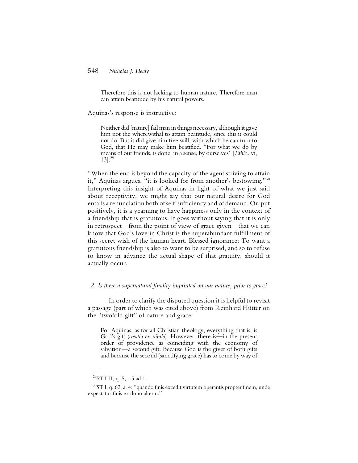Therefore this is not lacking to human nature. Therefore man can attain beatitude by his natural powers.

Aquinas's response is instructive:

Neither did [nature] fail man in things necessary, although it gave him not the wherewithal to attain beatitude, since this it could not do. But it did give him free will, with which he can turn to God, that He may make him beatified. "For what we do by means of our friends, is done, in a sense, by ourselves" [*Ethic*., vi,  $13$ ].<sup>29</sup>

"When the end is beyond the capacity of the agent striving to attain it," Aquinas argues, "it is looked for from another's bestowing."30 Interpreting this insight of Aquinas in light of what we just said about receptivity, we might say that our natural desire for God entails a renunciation both of self-sufficiency and of demand. Or, put positively, it is a yearning to have happiness only in the context of a friendship that is gratuitous. It goes without saying that it is only in retrospect—from the point of view of grace given—that we can know that God's love in Christ is the superabundant fulfillment of this secret wish of the human heart. Blessed ignorance: To want a gratuitous friendship is also to want to be surprised, and so to refuse to know in advance the actual shape of that gratuity, should it actually occur.

#### *2. Is there a supernatural finality imprinted on our nature, prior to grace?*

In order to clarify the disputed question it is helpful to revisit a passage (part of which was cited above) from Reinhard Hütter on the "twofold gift" of nature and grace:

For Aquinas, as for all Christian theology, everything that is, is God's gift (*creatio ex nihilo*). However, there is—in the present order of providence as coinciding with the economy of salvation—a second gift. Because God is the giver of both gifts and because the second (sanctifying grace) has to come by way of

 $^{29}$ ST I-II, q. 5, a 5 ad 1.

 $30$ ST I, q. 62, a. 4: "quando finis excedit virtutem operantis propter finem, unde expectatur finis ex dono alteriu."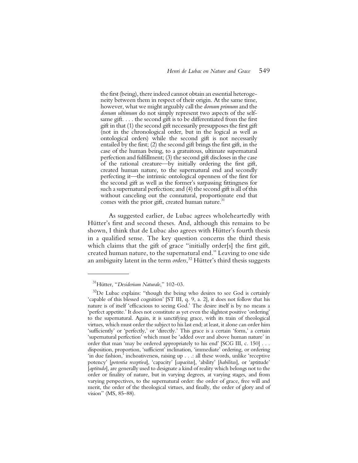the first (being), there indeed cannot obtain an essential heterogeneity between them in respect of their origin. At the same time, however, what we might arguably call the *donum primum* and the *donum ultimum* do not simply represent two aspects of the selfsame gift. . . . the second gift is to be differentiated from the first gift in that (1) the second gift necessarily presupposes the first gift (not in the chronological order, but in the logical as well as ontological orders) while the second gift is not necessarily entailed by the first; (2) the second gift brings the first gift, in the case of the human being, to a gratuitous, ultimate supernatural perfection and fulfillment; (3) the second gift discloses in the case of the rational creature—by initially ordering the first gift, created human nature, to the supernatural end and secondly perfecting it—the intrinsic ontological openness of the first for the second gift as well as the former's surpassing fittingness for such a supernatural perfection; and (4) the second gift is all of this without canceling out the connatural, proportionate end that comes with the prior gift, created human nature.<sup>31</sup>

As suggested earlier, de Lubac agrees wholeheartedly with Hütter's first and second theses. And, although this remains to be shown, I think that de Lubac also agrees with Hütter's fourth thesis in a qualified sense. The key question concerns the third thesis which claims that the gift of grace "initially order[s] the first gift, created human nature, to the supernatural end." Leaving to one side an ambiguity latent in the term *orders*, 32 Hütter's third thesis suggests

<sup>31</sup>Hütter, "*Desiderium Naturale*," 102–03.

<sup>&</sup>lt;sup>32</sup>De Lubac explains: "though the being who desires to see God is certainly 'capable of this blessed cognition' [ST III, q. 9, a. 2], it does not follow that his nature is of itself 'efficacious to seeing God.' The desire itself is by no means a 'perfect appetite.' It does not constitute as yet even the slightest positive 'ordering' to the supernatural. Again, it is sanctifying grace, with its train of theological virtues, which must order the subject to his last end; at least, it alone can order him 'sufficiently' or 'perfectly,' or 'directly.' This grace is a certain 'form,' a certain 'supernatural perfection' which must be 'added over and above human nature' in order that man 'may be ordered appropriately to his end' [SCG III, c. 150] . . . disposition, proportion, 'sufficient' inclination, 'immediate' ordering, or ordering 'in due fashion,' inchoativeness, raising up . . .: all these words, unlike 'receptive potency' [*potentia receptiva*], 'capacity' [*capacitas*], 'ability' [*habilitas*], or 'aptitude' [*aptitudo*], are generally used to designate a kind of reality which belongs not to the order or finality of nature, but in varying degrees, at varying stages, and from varying perspectives, to the supernatural order: the order of grace, free will and merit, the order of the theological virtues, and finally, the order of glory and of vision" (MS, 85–88).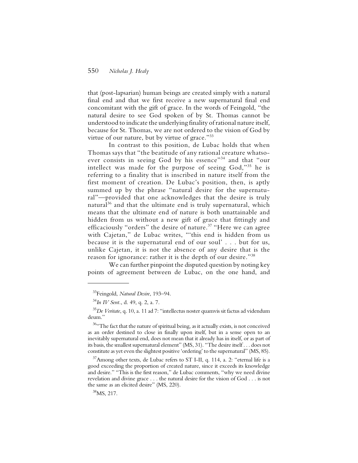that (post-lapsarian) human beings are created simply with a natural final end and that we first receive a new supernatural final end concomitant with the gift of grace. In the words of Feingold, "the natural desire to see God spoken of by St. Thomas cannot be understood to indicate the underlying finality of rational nature itself, because for St. Thomas, we are not ordered to the vision of God by virtue of our nature, but by virtue of grace."<sup>33</sup>

In contrast to this position, de Lubac holds that when Thomas says that "the beatitude of any rational creature whatsoever consists in seeing God by his essence"<sup>34</sup> and that "our intellect was made for the purpose of seeing God,"35 he is referring to a finality that is inscribed in nature itself from the first moment of creation. De Lubac's position, then, is aptly summed up by the phrase "natural desire for the supernatural"—provided that one acknowledges that the desire is truly natural $36$  and that the ultimate end is truly supernatural, which means that the ultimate end of nature is both unattainable and hidden from us without a new gift of grace that fittingly and efficaciously "orders" the desire of nature.<sup>37</sup> "Here we can agree with Cajetan," de Lubac writes, "'this end is hidden from us because it is the supernatural end of our soul' . . . but for us, unlike Cajetan, it is not the absence of any desire that is the reason for ignorance: rather it is the depth of our desire."38

We can further pinpoint the disputed question by noting key points of agreement between de Lubac, on the one hand, and

<sup>33</sup>Feingold, *Natural Desire*, 193–94.

<sup>34</sup>*In IV Sent.*, d. 49, q. 2, a. 7.

<sup>35</sup>*De Veritate*, q. 10, a. 11 ad 7: "intellectus noster quamvis sit factus ad videndum deum."

<sup>&</sup>lt;sup>36"</sup>The fact that the nature of spiritual being, as it actually exists, is not conceived as an order destined to close in finally upon itself, but in a sense open to an inevitably supernatural end, does not mean that it already has in itself, or as part of its basis, the smallest supernatural element" (MS, 31). "The desire itself . . . does not constitute as yet even the slightest positive 'ordering' to the supernatural" (MS, 85).

 $37$ Among other texts, de Lubac refers to ST I-II, q. 114, a. 2: "eternal life is a good exceeding the proportion of created nature, since it exceeds its knowledge and desire." "This is the first reason," de Lubac comments, "why we need divine revelation and divine grace . . . the natural desire for the vision of God . . . is not the same as an elicited desire" (MS, 220).

 $38$ MS, 217.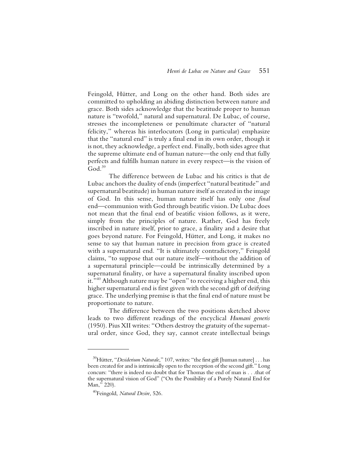Feingold, Hütter, and Long on the other hand. Both sides are committed to upholding an abiding distinction between nature and grace. Both sides acknowledge that the beatitude proper to human nature is "twofold," natural and supernatural. De Lubac, of course, stresses the incompleteness or penultimate character of "natural felicity," whereas his interlocutors (Long in particular) emphasize that the "natural end" is truly a final end in its own order, though it is not, they acknowledge, a perfect end. Finally, both sides agree that the supreme ultimate end of human nature—the only end that fully perfects and fulfills human nature in every respect—is the vision of  $God<sup>39</sup>$ 

The difference between de Lubac and his critics is that de Lubac anchors the duality of ends (imperfect "natural beatitude" and supernatural beatitude) in human nature itself as created in the image of God. In this sense, human nature itself has only one *final* end—communion with God through beatific vision. De Lubac does not mean that the final end of beatific vision follows, as it were, simply from the principles of nature. Rather, God has freely inscribed in nature itself, prior to grace, a finality and a desire that goes beyond nature. For Feingold, Hütter, and Long, it makes no sense to say that human nature in precision from grace is created with a supernatural end. "It is ultimately contradictory," Feingold claims, "to suppose that our nature itself—without the addition of a supernatural principle—could be intrinsically determined by a supernatural finality, or have a supernatural finality inscribed upon it."40 Although nature may be "open" to receiving a higher end, this higher supernatural end is first given with the second gift of deifying grace. The underlying premise is that the final end of nature must be proportionate to nature.

The difference between the two positions sketched above leads to two different readings of the encyclical *Humani generis* (1950). Pius XII writes: "Others destroy the gratuity of the supernatural order, since God, they say, cannot create intellectual beings

<sup>&</sup>lt;sup>39</sup>Hütter, "Desiderium Naturale," 107, writes: "the first gift [human nature] . . . has been created for and is intrinsically open to the reception of the second gift." Long concurs: "there is indeed no doubt that for Thomas the end of man is . . .that of the supernatural vision of God" ("On the Possibility of a Purely Natural End for Man," 220).

<sup>40</sup>Feingold, *Natural Desire*, 526.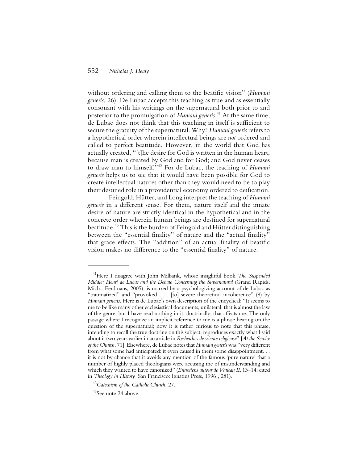without ordering and calling them to the beatific vision" (*Humani generis*, 26). De Lubac accepts this teaching as true and as essentially consonant with his writings on the supernatural both prior to and posterior to the promulgation of *Humani generis*. 41 At the same time, de Lubac does not think that this teaching in itself is sufficient to secure the gratuity of the supernatural. Why? *Humani generis* refers to a hypothetical order wherein intellectual beings are *not* ordered and called to perfect beatitude. However, in the world that God has actually created, "[t]he desire for God is written in the human heart, because man is created by God and for God; and God never ceases to draw man to himself."42 For de Lubac, the teaching of *Humani generis* helps us to see that it would have been possible for God to create intellectual natures other than they would need to be to play their destined role in a providential economy ordered to deification.

Feingold, Hütter, and Long interpret the teaching of *Humani generis* in a different sense. For them, nature itself and the innate desire of nature are strictly identical in the hypothetical and in the concrete order wherein human beings are destined for supernatural beatitude.43 This is the burden of Feingold and Hütter distinguishing between the "essential finality" of nature and the "actual finality" that grace effects. The "addition" of an actual finality of beatific vision makes no difference to the "essential finality" of nature.

<sup>41</sup>Here I disagree with John Milbank, whose insightful book *The Suspended Middle: Henri de Lubac and the Debate Concerning the Supernatural (Grand Rapids,* Mich.: Eerdmans, 2005)*,* is marred by a psychologizing account of de Lubac as "traumatized" and "provoked . . . [to] severe theoretical incoherence" (8) by *Humani generis*. Here is de Lubac's own description of the encyclical: "It seems to me to be like many other ecclesiastical documents, unilateral: that is almost the law of the genre; but I have read nothing in it, doctrinally, that affects me. The only passage where I recognize an implicit reference to me is a phrase bearing on the question of the supernatural; now it is rather curious to note that this phrase, intending to recall the true doctrine on this subject, reproduces exactly what I said about it two years earlier in an article in *Recherches de science religieuse*" [*At the Service of the Church*, 71]. Elsewhere, de Lubac notes that *Humani generis* was "very different from what some had anticipated: it even caused in them some disappointment. . . it is not by chance that it avoids any mention of the famous 'pure nature' that a number of highly placed theologians were accusing me of misunderstanding and which they wanted to have canonized" (*Entretiens autour de Vatican II*, 13–14; cited in *Theology in History* [San Francisco: Ignatius Press, 1996], 281).

<sup>42</sup>*Catechism of the Catholic Church*, 27.

<sup>&</sup>lt;sup>43</sup>See note 24 above.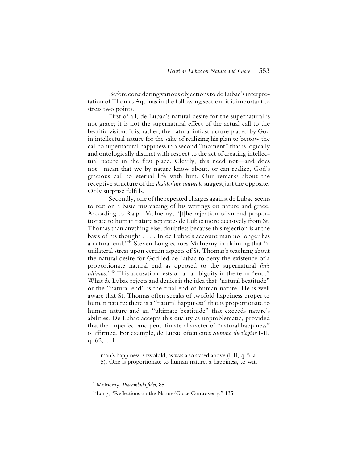Before considering various objections to de Lubac's interpretation of Thomas Aquinas in the following section, it is important to stress two points.

First of all, de Lubac's natural desire for the supernatural is not grace; it is not the supernatural effect of the actual call to the beatific vision. It is, rather, the natural infrastructure placed by God in intellectual nature for the sake of realizing his plan to bestow the call to supernatural happiness in a second "moment" that is logically and ontologically distinct with respect to the act of creating intellectual nature in the first place. Clearly, this need not—and does not—mean that we by nature know about, or can realize, God's gracious call to eternal life with him. Our remarks about the receptive structure of the *desiderium naturale* suggest just the opposite. Only surprise fulfills.

 Secondly, one of the repeated charges against de Lubac seems to rest on a basic misreading of his writings on nature and grace. According to Ralph McInerny, "[t]he rejection of an end proportionate to human nature separates de Lubac more decisively from St. Thomas than anything else, doubtless because this rejection is at the basis of his thought . . . . In de Lubac's account man no longer has a natural end."44 Steven Long echoes McInerny in claiming that "a unilateral stress upon certain aspects of St. Thomas's teaching about the natural desire for God led de Lubac to deny the existence of a proportionate natural end as opposed to the supernatural *finis ultimus*."45 This accusation rests on an ambiguity in the term "end." What de Lubac rejects and denies is the idea that "natural beatitude" or the "natural end" is the final end of human nature. He is well aware that St. Thomas often speaks of twofold happiness proper to human nature: there is a "natural happiness" that is proportionate to human nature and an "ultimate beatitude" that exceeds nature's abilities. De Lubac accepts this duality as unproblematic, provided that the imperfect and penultimate character of "natural happiness" is affirmed. For example, de Lubac often cites *Summa theologiae* I-II, q. 62, a. 1:

man's happiness is twofold, as was also stated above (I-II, q. 5, a. 5). One is proportionate to human nature, a happiness, to wit,

<sup>44</sup>McInerny, *Praeambula fidei*, 85.

<sup>45</sup>Long, "Reflections on the Nature/Grace Controversy," 135.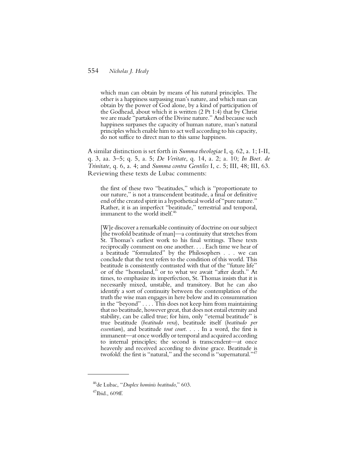which man can obtain by means of his natural principles. The other is a happiness surpassing man's nature, and which man can obtain by the power of God alone, by a kind of participation of the Godhead, about which it is written  $(2 \n{ P t 1:4})$  that by Christ we are made "partakers of the Divine nature." And because such happiness surpasses the capacity of human nature, man's natural principles which enable him to act well according to his capacity, do not suffice to direct man to this same happiness.

A similar distinction is set forth in *Summa theologiae* I, q. 62, a. 1; I-II, q. 3, aa. 3–5; q. 5, a. 5; *De Veritate*, q. 14, a. 2; a. 10; *In Boet. de Trinitate*, q. 6, a. 4; and *Summa contra Gentiles* I, c. 5; III, 48; III, 63. Reviewing these texts de Lubac comments:

the first of these two "beatitudes," which is "proportionate to our nature," is not a transcendent beatitude, a final or definitive end of the created spirit in a hypothetical world of "pure nature." Rather, it is an imperfect "beatitude," terrestrial and temporal, immanent to the world itself.<sup>46</sup>

[W]e discover a remarkable continuity of doctrine on our subject [the twofold beatitude of man]—a continuity that stretches from St. Thomas's earliest work to his final writings. These texts reciprocally comment on one another. . . . Each time we hear of a beatitude "formulated" by the Philosophers . . . we can conclude that the text refers to the condition of this world. This beatitude is consistently contrasted with that of the "future life" or of the "homeland," or to what we await "after death." At times, to emphasize its imperfection, St. Thomas insists that it is necessarily mixed, unstable, and transitory. But he can also identify a sort of continuity between the contemplation of the truth the wise man engages in here below and its consummation in the "beyond" . . . . This does not keep him from maintaining that no beatitude, however great, that does not entail eternity and stability, can be called true; for him, only "eternal beatitude" is true beatitude (*beatitudo vera*), beatitude itself (*beatitudo per essentiam*), and beatitude *tout court*. . . . In a word, the first is immanent—at once worldly or temporal and acquired according to internal principles; the second is transcendent—at once heavenly and received according to divine grace. Beatitude is twofold: the first is "natural," and the second is "supernatural."47

<sup>46</sup>de Lubac, "*Duplex hominis beatitudo*," 603.

 $47$ Ibid., 609ff.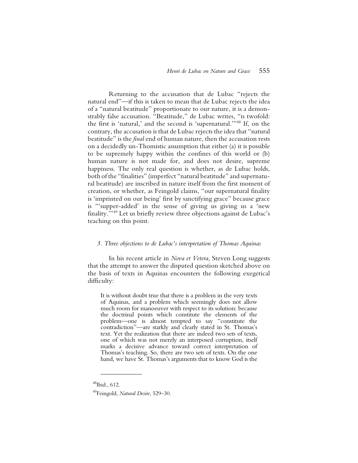Returning to the accusation that de Lubac "rejects the natural end"—if this is taken to mean that de Lubac rejects the idea of a "natural beatitude" proportionate to our nature, it is a demonstrably false accusation. "Beatitude," de Lubac writes, "is twofold: the first is 'natural,' and the second is 'supernatural.'"48 If, on the contrary, the accusation is that de Lubac rejects the idea that "natural beatitude" is the *final* end of human nature, then the accusation rests on a decidedly un-Thomistic assumption that either (a) it is possible to be supremely happy within the confines of this world or (b) human nature is not made for, and does not desire, supreme happiness. The only real question is whether, as de Lubac holds, both of the "finalities" (imperfect "natural beatitude" and supernatural beatitude) are inscribed in nature itself from the first moment of creation, or whether, as Feingold claims, "our supernatural finality is 'imprinted on our being' first by sanctifying grace" because grace is "'supper-added' in the sense of giving us giving us a 'new finality.'"49 Let us briefly review three objections against de Lubac's teaching on this point.

#### *3. Three objections to de Lubac's interpretation of Thomas Aquinas*

In his recent article in *Nova et Vetera*, Steven Long suggests that the attempt to answer the disputed question sketched above on the basis of texts in Aquinas encounters the following exegetical difficulty:

It is without doubt true that there is a problem in the very texts of Aquinas, and a problem which seemingly does not allow much room for manoeuver with respect to its solution: because the doctrinal points which constitute the elements of the problem—one is almost tempted to say "constitute the contradiction"—are starkly and clearly stated in St. Thomas's text. Yet the realization that there are indeed two sets of texts, one of which was not merely an interposed corruption, itself marks a decisive advance toward correct interpretation of Thomas's teaching. So, there are two sets of texts. On the one hand, we have St. Thomas's arguments that to know God is the

 $48$ Ibid., 612.

<sup>49</sup>Feingold, *Natural Desire*, 529–30.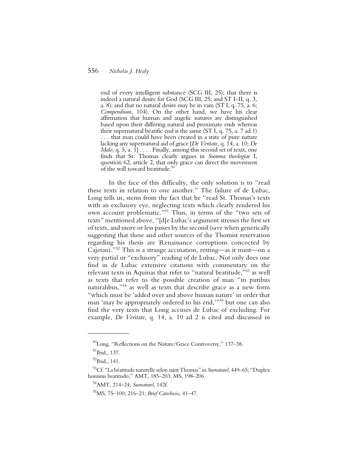end of every intelligent substance (SCG III, 25); that there is indeed a natural desire for God (SCG III, 25; and ST I–II, q. 3, a. 8); and that no natural desire may be in vain (ST I, q. 75, a. 6; *Compendium*, 104). On the other hand, we have his clear affirmation that human and angelic natures are distinguished based upon their differing natural and proximate ends whereas their supernatural beatific end is the same (ST I, q. 75, a. 7 ad 1) . . . that man could have been created in a state of pure nature lacking any supernatural aid of grace [*De Veritate*, q. 14, a. 10; *De Malo*, q. 5, a. 1] . . . . Finally, among this second set of texts, one finds that St. Thomas clearly argues in *Summa theologiae* I, question 62, article 2, that only grace can direct the movement of the will toward beatitude.<sup>50</sup>

In the face of this difficulty, the only solution is to "read these texts in relation to one another." The failure of de Lubac, Long tells us, stems from the fact that he "read St. Thomas's texts with an exclusory eye, neglecting texts which clearly rendered his own account problematic."51 Thus, in terms of the "two sets of texts" mentioned above, "[d]e Lubac's argument stresses the first set of texts, and more or less passes by the second (save when generically suggesting that these and other sources of the Thomist reservation regarding his thesis are Renaissance corruptions concocted by Cajetan)."52 This is a strange accusation, resting—as it must—on a very partial or "exclusory" reading of de Lubac. Not only does one find in de Lubac extensive citations with commentary on the relevant texts in Aquinas that refer to "natural beatitude,"53 as well as texts that refer to the possible creation of man "in puribus naturalibus,"54 as well as texts that describe grace as a new form "which must be 'added over and above human nature' in order that man 'may be appropriately ordered to his end,'"55 but one can also find the very texts that Long accuses de Lubac of excluding. For example, *De Veritate*, q. 14, a. 10 ad 2 is cited and discussed in

<sup>50</sup>Long, "Reflections on the Nature/Grace Controversy," 137–38.

 $51$ Ibid., 137.

<sup>52</sup>Ibid., 141.

<sup>53</sup>Cf. "La béatitude naturelle selon saint Thomas" in *Surnaturel*, 449–65; "Duplex hominis beatitudo;" AMT, 185–203; MS, 198–206.

<sup>54</sup>AMT, 214–24; *Surnaturel*, 142f.

<sup>55</sup>MS, 75–100; 216–21; *Brief Catechesis*, 41–47.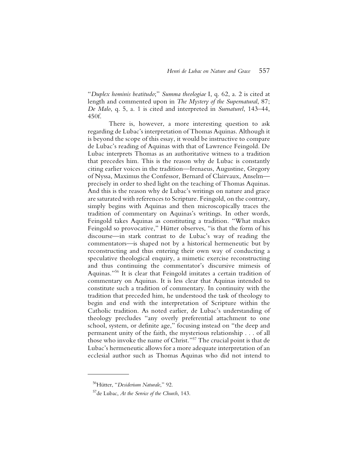"*Duplex hominis beatitudo*;" *Summa theologiae* I, q. 62, a. 2 is cited at length and commented upon in *The Mystery of the Supernatural*, 87; *De Malo*, q. 5, a. 1 is cited and interpreted in *Surnaturel*, 143–44, 450f.

There is, however, a more interesting question to ask regarding de Lubac's interpretation of Thomas Aquinas. Although it is beyond the scope of this essay, it would be instructive to compare de Lubac's reading of Aquinas with that of Lawrence Feingold. De Lubac interprets Thomas as an authoritative witness to a tradition that precedes him. This is the reason why de Lubac is constantly citing earlier voices in the tradition—Irenaeus, Augustine, Gregory of Nyssa, Maximus the Confessor, Bernard of Clairvaux, Anselm precisely in order to shed light on the teaching of Thomas Aquinas. And this is the reason why de Lubac's writings on nature and grace are saturated with references to Scripture. Feingold, on the contrary, simply begins with Aquinas and then microscopically traces the tradition of commentary on Aquinas's writings. In other words, Feingold takes Aquinas as constituting a tradition. "What makes Feingold so provocative," Hütter observes, "is that the form of his discourse—in stark contrast to de Lubac's way of reading the commentators—is shaped not by a historical hermeneutic but by reconstructing and thus entering their own way of conducting a speculative theological enquiry, a mimetic exercise reconstructing and thus continuing the commentator's discursive mimesis of Aquinas."56 It is clear that Feingold imitates a certain tradition of commentary on Aquinas. It is less clear that Aquinas intended to constitute such a tradition of commentary. In continuity with the tradition that preceded him, he understood the task of theology to begin and end with the interpretation of Scripture within the Catholic tradition. As noted earlier, de Lubac's understanding of theology precludes "any overly preferential attachment to one school, system, or definite age," focusing instead on "the deep and permanent unity of the faith, the mysterious relationship . . . of all those who invoke the name of Christ."57 The crucial point is that de Lubac's hermeneutic allows for a more adequate interpretation of an ecclesial author such as Thomas Aquinas who did not intend to

<sup>56</sup>Hütter, "*Desiderium Naturale*," 92.

<sup>57</sup>de Lubac, *At the Service of the Church*, 143.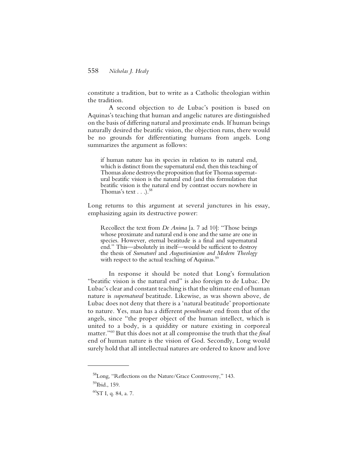constitute a tradition, but to write as a Catholic theologian within the tradition.

A second objection to de Lubac's position is based on Aquinas's teaching that human and angelic natures are distinguished on the basis of differing natural and proximate ends. If human beings naturally desired the beatific vision, the objection runs, there would be no grounds for differentiating humans from angels. Long summarizes the argument as follows:

if human nature has its species in relation to its natural end, which is distinct from the supernatural end, then this teaching of Thomas alone destroys the proposition that for Thomas supernatural beatific vision is the natural end (and this formulation that beatific vision is the natural end by contrast occurs nowhere in Thomas's text  $\ldots$ ).<sup>58</sup>

Long returns to this argument at several junctures in his essay, emphasizing again its destructive power:

Recollect the text from *De Anima* [a. 7 ad 10]: "Those beings whose proximate and natural end is one and the same are one in species. However, eternal beatitude is a final and supernatural end." This—absolutely in itself—would be sufficient to destroy the thesis of *Surnaturel* and *Augustinianism and Modern Theology* with respect to the actual teaching of Aquinas.<sup>59</sup>

In response it should be noted that Long's formulation "beatific vision is the natural end" is also foreign to de Lubac. De Lubac's clear and constant teaching is that the ultimate end of human nature is *supernatural* beatitude. Likewise, as was shown above, de Lubac does not deny that there is a 'natural beatitude' proportionate to nature. Yes, man has a different *penultimate* end from that of the angels, since "the proper object of the human intellect, which is united to a body, is a quiddity or nature existing in corporeal matter."60 But this does not at all compromise the truth that the *final* end of human nature is the vision of God. Secondly, Long would surely hold that all intellectual natures are ordered to know and love

<sup>58</sup>Long, "Reflections on the Nature/Grace Controversy," 143.

 $59$ Ibid., 159.

 $^{60}ST$  I, q. 84, a. 7.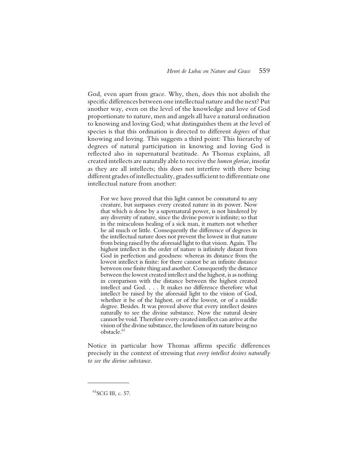God, even apart from grace. Why, then, does this not abolish the specific differences between one intellectual nature and the next? Put another way, even on the level of the knowledge and love of God proportionate to nature, men and angels all have a natural ordination to knowing and loving God; what distinguishes them at the level of species is that this ordination is directed to different *degrees* of that knowing and loving. This suggests a third point: This hierarchy of degrees of natural participation in knowing and loving God is reflected also in supernatural beatitude. As Thomas explains, all created intellects are naturally able to receive the *lumen gloriae*, insofar as they are all intellects; this does not interfere with there being different grades of intellectuality, grades sufficient to differentiate one intellectual nature from another:

For we have proved that this light cannot be connatural to any creature, but surpasses every created nature in its power. Now that which is done by a supernatural power, is not hindered by any diversity of nature, since the divine power is infinite; so that in the miraculous healing of a sick man, it matters not whether he ail much or little. Consequently the difference of degrees in the intellectual nature does not prevent the lowest in that nature from being raised by the aforesaid light to that vision. Again. The highest intellect in the order of nature is infinitely distant from God in perfection and goodness: whereas its distance from the lowest intellect is finite: for there cannot be an infinite distance between one finite thing and another. Consequently the distance between the lowest created intellect and the highest, is as nothing in comparison with the distance between the highest created intellect and God. . . . It makes no difference therefore what intellect be raised by the aforesaid light to the vision of God, whether it be of the highest, or of the lowest, or of a middle degree. Besides. It was proved above that every intellect desires naturally to see the divine substance. Now the natural desire cannot be void. Therefore every created intellect can arrive at the vision of the divine substance, the lowliness of its nature being no obstacle.<sup>61</sup>

Notice in particular how Thomas affirms specific differences precisely in the context of stressing that *every intellect desires naturally to see the divine substance*.

 $^{61}$ SCG III, c. 57.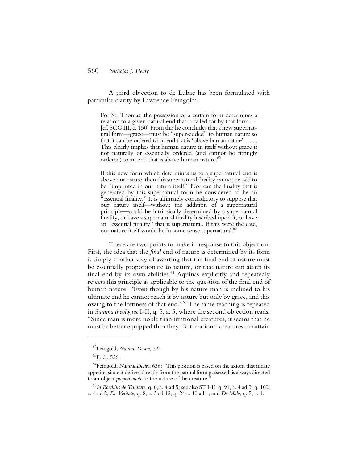A third objection to de Lubac has been formulated with particular clarity by Lawrence Feingold:

For St. Thomas, the possession of a certain form determines a relation to a given natural end that is called for by that form. . . [cf. SCG III, c. 150] From this he concludes that a new supernatural form—grace—must be "super-added" to human nature so that it can be ordered to an end that is "above human nature" . . . . This clearly implies that human nature in itself without grace is not naturally or essentially ordered (and cannot be fittingly ordered) to an end that is above human nature.<sup>62</sup>

If this new form which determines us to a supernatural end is above our nature, then this supernatural finality cannot be said to be "imprinted in our nature itself." Nor can the finality that is generated by this supernatural form be considered to be an "essential finality." It is ultimately contradictory to suppose that our nature itself—without the addition of a supernatural principle—could be intrinsically determined by a supernatural finality, or have a supernatural finality inscribed upon it, or have an "essential finality" that is supernatural. If this were the case, our nature itself would be in some sense supernatural.<sup>63</sup>

There are two points to make in response to this objection. First, the idea that the *final* end of nature is determined by its form is simply another way of asserting that the final end of nature must be essentially proportionate to nature, or that nature can attain its final end by its own abilities. $64$  Aquinas explicitly and repeatedly rejects this principle as applicable to the question of the final end of human nature: "Even though by his nature man is inclined to his ultimate end he cannot reach it by nature but only by grace, and this owing to the loftiness of that end."65 The same teaching is repeated in *Summa theologiae* I-II, q. 5, a. 5, where the second objection reads: "Since man is more noble than irrational creatures, it seems that he must be better equipped than they. But irrational creatures can attain

<sup>62</sup>Feingold, *Natural Desire*, 521.

 $^{63}$ Ibid., 526.

<sup>64</sup>Feingold, *Natural Desire*, 636: "This position is based on the axiom that innate appetite, since it derives directly from the natural form possessed, is always directed to an object *proportionate* to the nature of the creature."

<sup>65</sup>*In Boethius de Trinitate*, q. 6, a. 4 ad 5; see also ST I-II, q. 91, a. 4 ad 3; q. 109, a. 4 ad 2; *De Veritate*, q. 8, a. 3 ad 12; q. 24 a. 10 ad 1; and *De Malo*, q. 5, a. 1.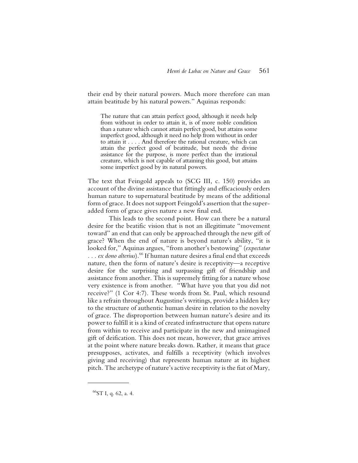their end by their natural powers. Much more therefore can man attain beatitude by his natural powers." Aquinas responds:

The nature that can attain perfect good, although it needs help from without in order to attain it, is of more noble condition than a nature which cannot attain perfect good, but attains some imperfect good, although it need no help from without in order to attain it . . . . And therefore the rational creature, which can attain the perfect good of beatitude, but needs the divine assistance for the purpose, is more perfect than the irrational creature, which is not capable of attaining this good, but attains some imperfect good by its natural powers.

The text that Feingold appeals to (SCG III, c. 150) provides an account of the divine assistance that fittingly and efficaciously orders human nature to supernatural beatitude by means of the additional form of grace. It does not support Feingold's assertion that the superadded form of grace gives nature a new final end.

This leads to the second point. How can there be a natural desire for the beatific vision that is not an illegitimate "movement toward" an end that can only be approached through the new gift of grace? When the end of nature is beyond nature's ability, "it is looked for," Aquinas argues, "from another's bestowing" (*expectatur . . . ex dono alterius*).66 If human nature desires a final end that exceeds nature, then the form of nature's desire is receptivity—a receptive desire for the surprising and surpassing gift of friendship and assistance from another. This is supremely fitting for a nature whose very existence is from another. "What have you that you did not receive?" (1 Cor 4:7). These words from St. Paul, which resound like a refrain throughout Augustine's writings, provide a hidden key to the structure of authentic human desire in relation to the novelty of grace. The disproportion between human nature's desire and its power to fulfill it is a kind of created infrastructure that opens nature from within to receive and participate in the new and unimagined gift of deification. This does not mean, however, that grace arrives at the point where nature breaks down. Rather, it means that grace presupposes, activates, and fulfills a receptivity (which involves giving and receiving) that represents human nature at its highest pitch. The archetype of nature's active receptivity is the fiat of Mary,

<sup>66</sup>ST I, q. 62, a. 4.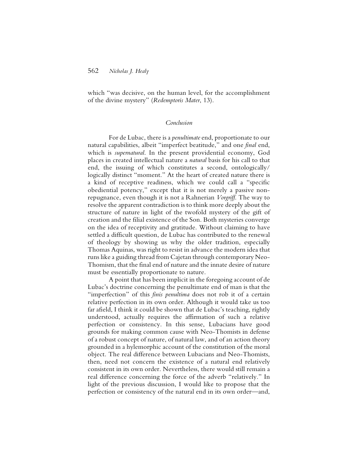which "was decisive, on the human level, for the accomplishment of the divine mystery" (*Redemptoris Mater*, 13).

#### *Conclusion*

For de Lubac, there is a *penultimate* end, proportionate to our natural capabilities, albeit "imperfect beatitude," and one *final* end, which is *supernatural*. In the present providential economy, God places in created intellectual nature a *natural* basis for his call to that end, the issuing of which constitutes a second, ontologically/ logically distinct "moment." At the heart of created nature there is a kind of receptive readiness, which we could call a "specific obediential potency," except that it is not merely a passive nonrepugnance, even though it is not a Rahnerian *Vorgriff*. The way to resolve the apparent contradiction is to think more deeply about the structure of nature in light of the twofold mystery of the gift of creation and the filial existence of the Son. Both mysteries converge on the idea of receptivity and gratitude. Without claiming to have settled a difficult question, de Lubac has contributed to the renewal of theology by showing us why the older tradition, especially Thomas Aquinas, was right to resist in advance the modern idea that runs like a guiding thread from Cajetan through contemporary Neo-Thomism, that the final end of nature and the innate desire of nature must be essentially proportionate to nature.

A point that has been implicit in the foregoing account of de Lubac's doctrine concerning the penultimate end of man is that the "imperfection" of this *finis penultima* does not rob it of a certain relative perfection in its own order. Although it would take us too far afield, I think it could be shown that de Lubac's teaching, rightly understood, actually requires the affirmation of such a relative perfection or consistency. In this sense, Lubacians have good grounds for making common cause with Neo-Thomists in defense of a robust concept of nature, of natural law, and of an action theory grounded in a hylemorphic account of the constitution of the moral object. The real difference between Lubacians and Neo-Thomists, then, need not concern the existence of a natural end relatively consistent in its own order. Nevertheless, there would still remain a real difference concerning the force of the adverb "relatively." In light of the previous discussion, I would like to propose that the perfection or consistency of the natural end in its own order—and,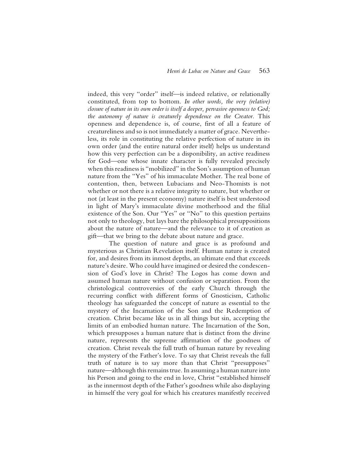indeed, this very "order" itself—is indeed relative, or relationally constituted, from top to bottom. *In other words, the very (relative) closure of nature in its own order is itself a deeper, pervasive openness to God; the autonomy of nature is creaturely dependence on the Creator.* This openness and dependence is, of course, first of all a feature of creatureliness and so is not immediately a matter of grace. Nevertheless, its role in constituting the relative perfection of nature in its own order (and the entire natural order itself) helps us understand how this very perfection can be a disponibility, an active readiness for God—one whose innate character is fully revealed precisely when this readiness is "mobilized" in the Son's assumption of human nature from the "Yes" of his immaculate Mother. The real bone of contention, then, between Lubacians and Neo-Thomists is not whether or not there is a relative integrity to nature, but whether or not (at least in the present economy) nature itself is best understood in light of Mary's immaculate divine motherhood and the filial existence of the Son. Our "Yes" or "No" to this question pertains not only to theology, but lays bare the philosophical presuppositions about the nature of nature—and the relevance to it of creation as gift—that we bring to the debate about nature and grace.

The question of nature and grace is as profound and mysterious as Christian Revelation itself. Human nature is created for, and desires from its inmost depths, an ultimate end that exceeds nature's desire. Who could have imagined or desired the condescension of God's love in Christ? The Logos has come down and assumed human nature without confusion or separation. From the christological controversies of the early Church through the recurring conflict with different forms of Gnosticism, Catholic theology has safeguarded the concept of nature as essential to the mystery of the Incarnation of the Son and the Redemption of creation. Christ became like us in all things but sin, accepting the limits of an embodied human nature. The Incarnation of the Son, which presupposes a human nature that is distinct from the divine nature, represents the supreme affirmation of the goodness of creation. Christ reveals the full truth of human nature by revealing the mystery of the Father's love. To say that Christ reveals the full truth of nature is to say more than that Christ "presupposes" nature—although this remains true. In assuming a human nature into his Person and going to the end in love, Christ "established himself as the innermost depth of the Father's goodness while also displaying in himself the very goal for which his creatures manifestly received